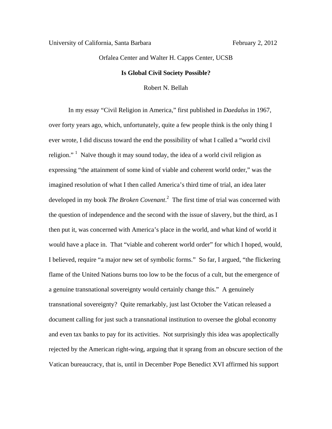## University of California, Santa Barbara February 2, 2012

## Orfalea Center and Walter H. Capps Center, UCSB

## **Is Global Civil Society Possible?**

Robert N. Bellah

 In my essay "Civil Religion in America," first published in *Daedalus* in 1967, over forty years ago, which, unfortunately, quite a few people think is the only thing I ever wrote, I did discuss toward the end the possibility of what I called a "world civil religion."<sup>1</sup> Naïve though it may sound today, the idea of a world civil religion as expressing "the attainment of some kind of viable and coherent world order," was the imagined resolution of what I then called America's third time of trial, an idea later developed in my book *The Broken Covenant*. 2 The first time of trial was concerned with the question of independence and the second with the issue of slavery, but the third, as I then put it, was concerned with America's place in the world, and what kind of world it would have a place in. That "viable and coherent world order" for which I hoped, would, I believed, require "a major new set of symbolic forms." So far, I argued, "the flickering flame of the United Nations burns too low to be the focus of a cult, but the emergence of a genuine transnational sovereignty would certainly change this." A genuinely transnational sovereignty? Quite remarkably, just last October the Vatican released a document calling for just such a transnational institution to oversee the global economy and even tax banks to pay for its activities. Not surprisingly this idea was apoplectically rejected by the American right-wing, arguing that it sprang from an obscure section of the Vatican bureaucracy, that is, until in December Pope Benedict XVI affirmed his support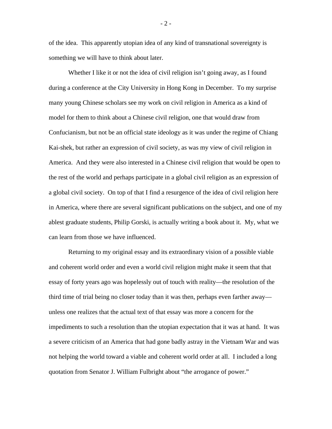of the idea. This apparently utopian idea of any kind of transnational sovereignty is something we will have to think about later.

Whether I like it or not the idea of civil religion isn't going away, as I found during a conference at the City University in Hong Kong in December. To my surprise many young Chinese scholars see my work on civil religion in America as a kind of model for them to think about a Chinese civil religion, one that would draw from Confucianism, but not be an official state ideology as it was under the regime of Chiang Kai-shek, but rather an expression of civil society, as was my view of civil religion in America. And they were also interested in a Chinese civil religion that would be open to the rest of the world and perhaps participate in a global civil religion as an expression of a global civil society. On top of that I find a resurgence of the idea of civil religion here in America, where there are several significant publications on the subject, and one of my ablest graduate students, Philip Gorski, is actually writing a book about it. My, what we can learn from those we have influenced.

 Returning to my original essay and its extraordinary vision of a possible viable and coherent world order and even a world civil religion might make it seem that that essay of forty years ago was hopelessly out of touch with reality—the resolution of the third time of trial being no closer today than it was then, perhaps even farther away unless one realizes that the actual text of that essay was more a concern for the impediments to such a resolution than the utopian expectation that it was at hand. It was a severe criticism of an America that had gone badly astray in the Vietnam War and was not helping the world toward a viable and coherent world order at all. I included a long quotation from Senator J. William Fulbright about "the arrogance of power."

- 2 -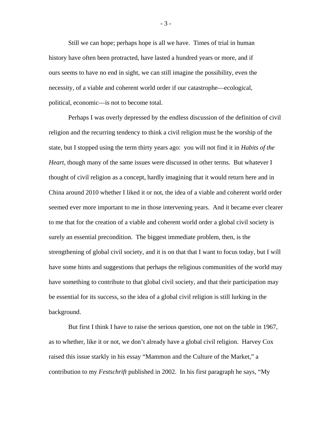Still we can hope; perhaps hope is all we have. Times of trial in human history have often been protracted, have lasted a hundred years or more, and if ours seems to have no end in sight, we can still imagine the possibility, even the necessity, of a viable and coherent world order if our catastrophe—ecological, political, economic—is not to become total.

Perhaps I was overly depressed by the endless discussion of the definition of civil religion and the recurring tendency to think a civil religion must be the worship of the state, but I stopped using the term thirty years ago: you will not find it in *Habits of the Heart*, though many of the same issues were discussed in other terms. But whatever I thought of civil religion as a concept, hardly imagining that it would return here and in China around 2010 whether I liked it or not, the idea of a viable and coherent world order seemed ever more important to me in those intervening years. And it became ever clearer to me that for the creation of a viable and coherent world order a global civil society is surely an essential precondition. The biggest immediate problem, then, is the strengthening of global civil society, and it is on that that I want to focus today, but I will have some hints and suggestions that perhaps the religious communities of the world may have something to contribute to that global civil society, and that their participation may be essential for its success, so the idea of a global civil religion is still lurking in the background.

 But first I think I have to raise the serious question, one not on the table in 1967, as to whether, like it or not, we don't already have a global civil religion. Harvey Cox raised this issue starkly in his essay "Mammon and the Culture of the Market," a contribution to my *Festschrift* published in 2002. In his first paragraph he says, "My

- 3 -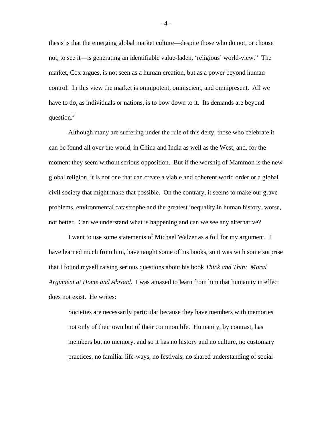thesis is that the emerging global market culture—despite those who do not, or choose not, to see it—is generating an identifiable value-laden, 'religious' world-view." The market, Cox argues, is not seen as a human creation, but as a power beyond human control. In this view the market is omnipotent, omniscient, and omnipresent. All we have to do, as individuals or nations, is to bow down to it. Its demands are beyond question.<sup>3</sup>

Although many are suffering under the rule of this deity, those who celebrate it can be found all over the world, in China and India as well as the West, and, for the moment they seem without serious opposition. But if the worship of Mammon is the new global religion, it is not one that can create a viable and coherent world order or a global civil society that might make that possible. On the contrary, it seems to make our grave problems, environmental catastrophe and the greatest inequality in human history, worse, not better. Can we understand what is happening and can we see any alternative?

I want to use some statements of Michael Walzer as a foil for my argument. I have learned much from him, have taught some of his books, so it was with some surprise that I found myself raising serious questions about his book *Thick and Thin: Moral Argument at Home and Abroad*. I was amazed to learn from him that humanity in effect does not exist. He writes:

Societies are necessarily particular because they have members with memories not only of their own but of their common life. Humanity, by contrast, has members but no memory, and so it has no history and no culture, no customary practices, no familiar life-ways, no festivals, no shared understanding of social

- 4 -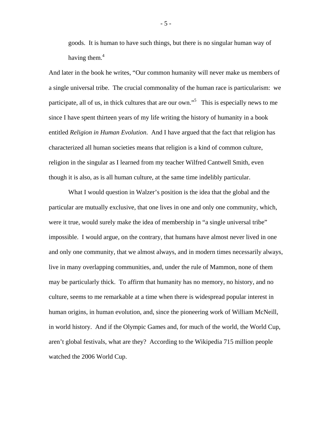goods. It is human to have such things, but there is no singular human way of having them. $4$ 

And later in the book he writes, "Our common humanity will never make us members of a single universal tribe. The crucial commonality of the human race is particularism: we participate, all of us, in thick cultures that are our own."<sup>5</sup> This is especially news to me since I have spent thirteen years of my life writing the history of humanity in a book entitled *Religion in Human Evolution*. And I have argued that the fact that religion has characterized all human societies means that religion is a kind of common culture, religion in the singular as I learned from my teacher Wilfred Cantwell Smith, even though it is also, as is all human culture, at the same time indelibly particular.

 What I would question in Walzer's position is the idea that the global and the particular are mutually exclusive, that one lives in one and only one community, which, were it true, would surely make the idea of membership in "a single universal tribe" impossible. I would argue, on the contrary, that humans have almost never lived in one and only one community, that we almost always, and in modern times necessarily always, live in many overlapping communities, and, under the rule of Mammon, none of them may be particularly thick. To affirm that humanity has no memory, no history, and no culture, seems to me remarkable at a time when there is widespread popular interest in human origins, in human evolution, and, since the pioneering work of William McNeill, in world history. And if the Olympic Games and, for much of the world, the World Cup, aren't global festivals, what are they? According to the Wikipedia 715 million people watched the 2006 World Cup.

- 5 -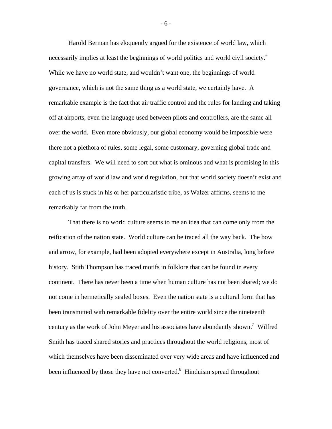Harold Berman has eloquently argued for the existence of world law, which necessarily implies at least the beginnings of world politics and world civil society.<sup>6</sup> While we have no world state, and wouldn't want one, the beginnings of world governance, which is not the same thing as a world state, we certainly have. A remarkable example is the fact that air traffic control and the rules for landing and taking off at airports, even the language used between pilots and controllers, are the same all over the world. Even more obviously, our global economy would be impossible were there not a plethora of rules, some legal, some customary, governing global trade and capital transfers. We will need to sort out what is ominous and what is promising in this growing array of world law and world regulation, but that world society doesn't exist and each of us is stuck in his or her particularistic tribe, as Walzer affirms, seems to me remarkably far from the truth.

That there is no world culture seems to me an idea that can come only from the reification of the nation state. World culture can be traced all the way back. The bow and arrow, for example, had been adopted everywhere except in Australia, long before history. Stith Thompson has traced motifs in folklore that can be found in every continent. There has never been a time when human culture has not been shared; we do not come in hermetically sealed boxes. Even the nation state is a cultural form that has been transmitted with remarkable fidelity over the entire world since the nineteenth century as the work of John Meyer and his associates have abundantly shown.<sup>7</sup> Wilfred Smith has traced shared stories and practices throughout the world religions, most of which themselves have been disseminated over very wide areas and have influenced and been influenced by those they have not converted.<sup>8</sup> Hinduism spread throughout

- 6 -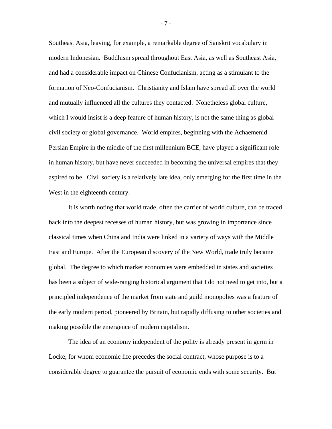Southeast Asia, leaving, for example, a remarkable degree of Sanskrit vocabulary in modern Indonesian. Buddhism spread throughout East Asia, as well as Southeast Asia, and had a considerable impact on Chinese Confucianism, acting as a stimulant to the formation of Neo-Confucianism. Christianity and Islam have spread all over the world and mutually influenced all the cultures they contacted. Nonetheless global culture, which I would insist is a deep feature of human history, is not the same thing as global civil society or global governance. World empires, beginning with the Achaemenid Persian Empire in the middle of the first millennium BCE, have played a significant role in human history, but have never succeeded in becoming the universal empires that they aspired to be. Civil society is a relatively late idea, only emerging for the first time in the West in the eighteenth century.

It is worth noting that world trade, often the carrier of world culture, can be traced back into the deepest recesses of human history, but was growing in importance since classical times when China and India were linked in a variety of ways with the Middle East and Europe. After the European discovery of the New World, trade truly became global. The degree to which market economies were embedded in states and societies has been a subject of wide-ranging historical argument that I do not need to get into, but a principled independence of the market from state and guild monopolies was a feature of the early modern period, pioneered by Britain, but rapidly diffusing to other societies and making possible the emergence of modern capitalism.

 The idea of an economy independent of the polity is already present in germ in Locke, for whom economic life precedes the social contract, whose purpose is to a considerable degree to guarantee the pursuit of economic ends with some security. But

- 7 -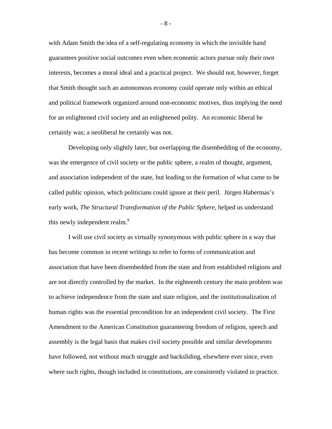with Adam Smith the idea of a self-regulating economy in which the invisible hand guarantees positive social outcomes even when economic actors pursue only their own interests, becomes a moral ideal and a practical project. We should not, however, forget that Smith thought such an autonomous economy could operate only within an ethical and political framework organized around non-economic motives, thus implying the need for an enlightened civil society and an enlightened polity. An economic liberal he certainly was; a neoliberal he certainly was not.

 Developing only slightly later, but overlapping the disembedding of the economy, was the emergence of civil society or the public sphere, a realm of thought, argument, and association independent of the state, but leading to the formation of what came to be called public opinion, which politicians could ignore at their peril. Jürgen Habermas's early work, *The Structural Transformation of the Public Sphere*, helped us understand this newly independent realm. $\degree$ 

I will use civil society as virtually synonymous with public sphere in a way that has become common in recent writings to refer to forms of communication and association that have been disembedded from the state and from established religions and are not directly controlled by the market. In the eighteenth century the main problem was to achieve independence from the state and state religion, and the institutionalization of human rights was the essential precondition for an independent civil society. The First Amendment to the American Constitution guaranteeing freedom of religion, speech and assembly is the legal basis that makes civil society possible and similar developments have followed, not without much struggle and backsliding, elsewhere ever since, even where such rights, though included in constitutions, are consistently violated in practice.

- 8 -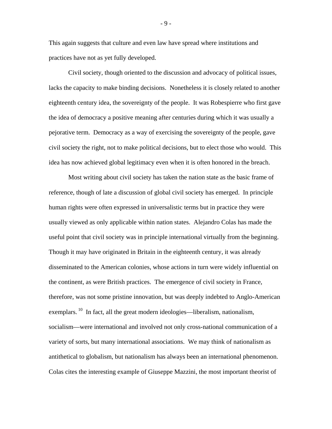This again suggests that culture and even law have spread where institutions and practices have not as yet fully developed.

Civil society, though oriented to the discussion and advocacy of political issues, lacks the capacity to make binding decisions. Nonetheless it is closely related to another eighteenth century idea, the sovereignty of the people. It was Robespierre who first gave the idea of democracy a positive meaning after centuries during which it was usually a pejorative term. Democracy as a way of exercising the sovereignty of the people, gave civil society the right, not to make political decisions, but to elect those who would. This idea has now achieved global legitimacy even when it is often honored in the breach.

Most writing about civil society has taken the nation state as the basic frame of reference, though of late a discussion of global civil society has emerged. In principle human rights were often expressed in universalistic terms but in practice they were usually viewed as only applicable within nation states. Alejandro Colas has made the useful point that civil society was in principle international virtually from the beginning. Though it may have originated in Britain in the eighteenth century, it was already disseminated to the American colonies, whose actions in turn were widely influential on the continent, as were British practices. The emergence of civil society in France, therefore, was not some pristine innovation, but was deeply indebted to Anglo-American exemplars.<sup>10</sup> In fact, all the great modern ideologies—liberalism, nationalism, socialism—were international and involved not only cross-national communication of a variety of sorts, but many international associations. We may think of nationalism as antithetical to globalism, but nationalism has always been an international phenomenon. Colas cites the interesting example of Giuseppe Mazzini, the most important theorist of

- 9 -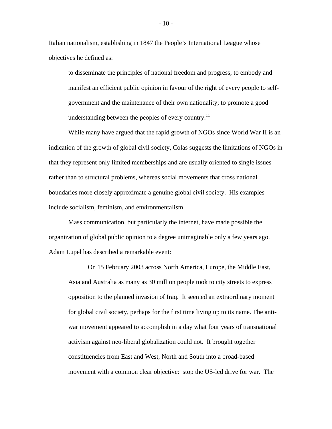Italian nationalism, establishing in 1847 the People's International League whose objectives he defined as:

to disseminate the principles of national freedom and progress; to embody and manifest an efficient public opinion in favour of the right of every people to selfgovernment and the maintenance of their own nationality; to promote a good understanding between the peoples of every country.<sup>11</sup>

While many have argued that the rapid growth of NGOs since World War II is an indication of the growth of global civil society, Colas suggests the limitations of NGOs in that they represent only limited memberships and are usually oriented to single issues rather than to structural problems, whereas social movements that cross national boundaries more closely approximate a genuine global civil society. His examples include socialism, feminism, and environmentalism.

Mass communication, but particularly the internet, have made possible the organization of global public opinion to a degree unimaginable only a few years ago. Adam Lupel has described a remarkable event:

On 15 February 2003 across North America, Europe, the Middle East, Asia and Australia as many as 30 million people took to city streets to express opposition to the planned invasion of Iraq. It seemed an extraordinary moment for global civil society, perhaps for the first time living up to its name. The antiwar movement appeared to accomplish in a day what four years of transnational activism against neo-liberal globalization could not. It brought together constituencies from East and West, North and South into a broad-based movement with a common clear objective: stop the US-led drive for war. The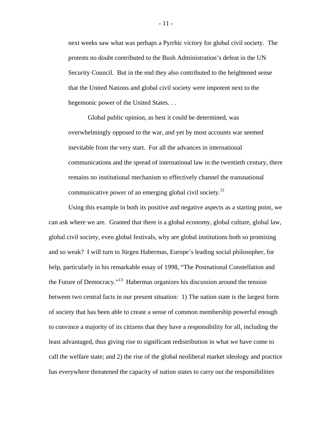next weeks saw what was perhaps a Pyrrhic victory for global civil society. The protests no doubt contributed to the Bush Administration's defeat in the UN Security Council. But in the end they also contributed to the heightened sense that the United Nations and global civil society were impotent next to the hegemonic power of the United States. . .

Global public opinion, as best it could be determined, was overwhelmingly opposed to the war, and yet by most accounts war seemed inevitable from the very start. For all the advances in international communications and the spread of international law in the twentieth century, there remains no institutional mechanism to effectively channel the transnational communicative power of an emerging global civil society.<sup>12</sup>

 Using this example in both its positive and negative aspects as a starting point, we can ask where we are. Granted that there is a global economy, global culture, global law, global civil society, even global festivals, why are global institutions both so promising and so weak? I will turn to Jürgen Habermas, Europe's leading social philosopher, for help, particularly in his remarkable essay of 1998, "The Postnational Constellation and the Future of Democracy."13 Habermas organizes his discussion around the tension between two central facts in our present situation: 1) The nation state is the largest form of society that has been able to create a sense of common membership powerful enough to convince a majority of its citizens that they have a responsibility for all, including the least advantaged, thus giving rise to significant redistribution in what we have come to call the welfare state; and 2) the rise of the global neoliberal market ideology and practice has everywhere threatened the capacity of nation states to carry out the responsibilities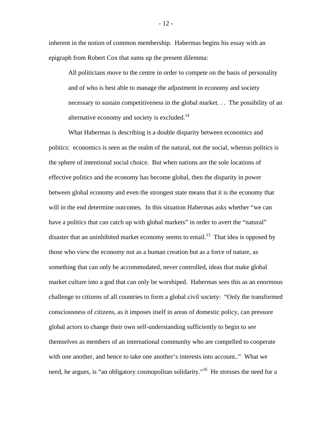inherent in the notion of common membership. Habermas begins his essay with an epigraph from Robert Cox that sums up the present dilemma:

 All politicians move to the centre in order to compete on the basis of personality and of who is best able to manage the adjustment in economy and society necessary to sustain competitiveness in the global market. . . The possibility of an alternative economy and society is excluded.<sup>14</sup>

What Habermas is describing is a double disparity between economics and politics: economics is seen as the realm of the natural, not the social, whereas politics is the sphere of intentional social choice. But when nations are the sole locations of effective politics and the economy has become global, then the disparity in power between global economy and even the strongest state means that it is the economy that will in the end determine outcomes. In this situation Habermas asks whether "we can have a politics that can catch up with global markets" in order to avert the "natural" disaster that an uninhibited market economy seems to entail.<sup>15</sup> That idea is opposed by those who view the economy not as a human creation but as a force of nature, as something that can only be accommodated, never controlled, ideas that make global market culture into a god that can only be worshiped. Habermas sees this as an enormous challenge to citizens of all countries to form a global civil society: "Only the transformed consciousness of citizens, as it imposes itself in areas of domestic policy, can pressure global actors to change their own self-understanding sufficiently to begin to see themselves as members of an international community who are compelled to cooperate with one another, and hence to take one another's interests into account.." What we need, he argues, is "an obligatory cosmopolitan solidarity."<sup>16</sup> He stresses the need for a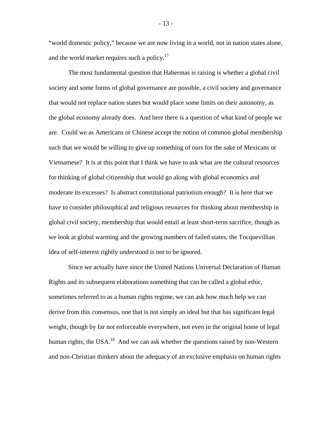"world domestic policy," because we are now living in a world, not in nation states alone, and the world market requires such a policy.<sup>17</sup>

 The most fundamental question that Habermas is raising is whether a global civil society and some forms of global governance are possible, a civil society and governance that would not replace nation states but would place some limits on their autonomy, as the global economy already does. And here there is a question of what kind of people we are. Could we as Americans or Chinese accept the notion of common global membership such that we would be willing to give up something of ours for the sake of Mexicans or Vietnamese? It is at this point that I think we have to ask what are the cultural resources for thinking of global citizenship that would go along with global economics and moderate its excesses? Is abstract constitutional patriotism enough? It is here that we have to consider philosophical and religious resources for thinking about membership in global civil society, membership that would entail at least short-term sacrifice, though as we look at global warming and the growing numbers of failed states, the Tocquevillian idea of self-interest rightly understood is not to be ignored.

 Since we actually have since the United Nations Universal Declaration of Human Rights and its subsequent elaborations something that can be called a global ethic, sometimes referred to as a human rights regime, we can ask how much help we can derive from this consensus, one that is not simply an ideal but that has significant legal weight, though by far not enforceable everywhere, not even in the original home of legal human rights, the USA.<sup>18</sup> And we can ask whether the questions raised by non-Western and non-Christian thinkers about the adequacy of an exclusive emphasis on human rights

- 13 -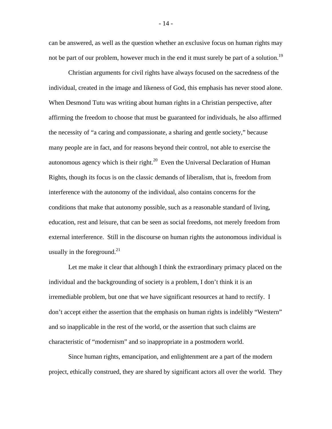can be answered, as well as the question whether an exclusive focus on human rights may not be part of our problem, however much in the end it must surely be part of a solution.<sup>19</sup>

 Christian arguments for civil rights have always focused on the sacredness of the individual, created in the image and likeness of God, this emphasis has never stood alone. When Desmond Tutu was writing about human rights in a Christian perspective, after affirming the freedom to choose that must be guaranteed for individuals, he also affirmed the necessity of "a caring and compassionate, a sharing and gentle society," because many people are in fact, and for reasons beyond their control, not able to exercise the autonomous agency which is their right.<sup>20</sup> Even the Universal Declaration of Human Rights, though its focus is on the classic demands of liberalism, that is, freedom from interference with the autonomy of the individual, also contains concerns for the conditions that make that autonomy possible, such as a reasonable standard of living, education, rest and leisure, that can be seen as social freedoms, not merely freedom from external interference. Still in the discourse on human rights the autonomous individual is usually in the foreground. $^{21}$ 

 Let me make it clear that although I think the extraordinary primacy placed on the individual and the backgrounding of society is a problem, I don't think it is an irremediable problem, but one that we have significant resources at hand to rectify. I don't accept either the assertion that the emphasis on human rights is indelibly "Western" and so inapplicable in the rest of the world, or the assertion that such claims are characteristic of "modernism" and so inappropriate in a postmodern world.

Since human rights, emancipation, and enlightenment are a part of the modern project, ethically construed, they are shared by significant actors all over the world. They

- 14 -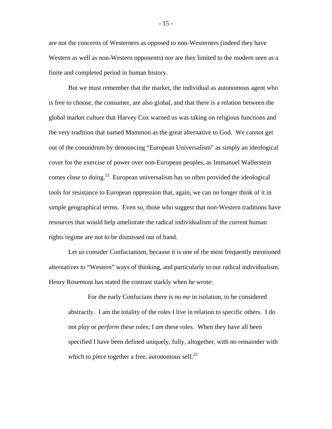are not the concerns of Westerners as opposed to non-Westerners (indeed they have Western as well as non-Western opponents) nor are they limited to the modern seen as a finite and completed period in human history.

But we must remember that the market, the individual as autonomous agent who is free to choose, the consumer, are also global, and that there is a relation between the global market culture that Harvey Cox warned us was taking on religious functions and the very tradition that named Mammon as the great alternative to God. We cannot get out of the conundrum by denouncing "European Universalism" as simply an ideological cover for the exercise of power over non-European peoples, as Immanuel Wallerstein comes close to doing.<sup>22</sup> European universalism has so often provided the ideological tools for resistance to European oppression that, again, we can no longer think of it in simple geographical terms. Even so, those who suggest that non-Western traditions have resources that would help ameliorate the radical individualism of the current human rights regime are not to be dismissed out of hand.

Let us consider Confucianism, because it is one of the most frequently mentioned alternatives to "Western" ways of thinking, and particularly to our radical individualism. Henry Rosemont has stated the contrast starkly when he wrote:

 For the early Confucians there is no *me* in isolation, to be considered abstractly. I am the totality of the roles I live in relation to specific others. I do not *play* or *perform* these roles; I *am* these roles. When they have all been specified I have been defined uniquely, fully, altogether, with no remainder with which to piece together a free, autonomous self. $^{23}$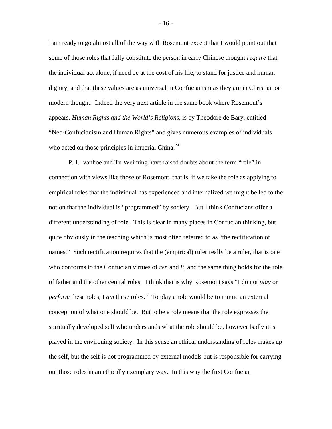I am ready to go almost all of the way with Rosemont except that I would point out that some of those roles that fully constitute the person in early Chinese thought *require* that the individual act alone, if need be at the cost of his life, to stand for justice and human dignity, and that these values are as universal in Confucianism as they are in Christian or modern thought. Indeed the very next article in the same book where Rosemont's appears, *Human Rights and the World's Religions*, is by Theodore de Bary, entitled "Neo-Confucianism and Human Rights" and gives numerous examples of individuals who acted on those principles in imperial China. $^{24}$ 

P. J. Ivanhoe and Tu Weiming have raised doubts about the term "role" in connection with views like those of Rosemont, that is, if we take the role as applying to empirical roles that the individual has experienced and internalized we might be led to the notion that the individual is "programmed" by society. But I think Confucians offer a different understanding of role. This is clear in many places in Confucian thinking, but quite obviously in the teaching which is most often referred to as "the rectification of names." Such rectification requires that the (empirical) ruler really be a ruler, that is one who conforms to the Confucian virtues of *ren* and *li*, and the same thing holds for the role of father and the other central roles. I think that is why Rosemont says "I do not *play* or *perform* these roles; I *am* these roles." To play a role would be to mimic an external conception of what one should be. But to be a role means that the role expresses the spiritually developed self who understands what the role should be, however badly it is played in the environing society. In this sense an ethical understanding of roles makes up the self, but the self is not programmed by external models but is responsible for carrying out those roles in an ethically exemplary way. In this way the first Confucian

- 16 -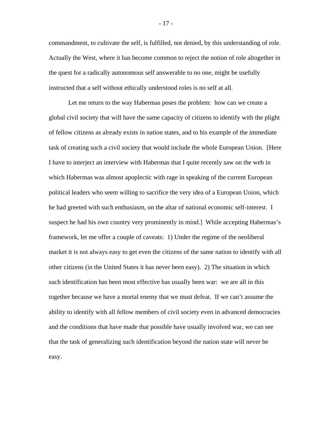commandment, to cultivate the self, is fulfilled, not denied, by this understanding of role. Actually the West, where it has become common to reject the notion of role altogether in the quest for a radically autonomous self answerable to no one, might be usefully instructed that a self without ethically understood roles is no self at all.

 Let me return to the way Habermas poses the problem: how can we create a global civil society that will have the same capacity of citizens to identify with the plight of fellow citizens as already exists in nation states, and to his example of the immediate task of creating such a civil society that would include the whole European Union. [Here I have to interject an interview with Habermas that I quite recently saw on the web in which Habermas was almost apoplectic with rage in speaking of the current European political leaders who seem willing to sacrifice the very idea of a European Union, which he had greeted with such enthusiasm, on the altar of national economic self-interest. I suspect he had his own country very prominently in mind.] While accepting Habermas's framework, let me offer a couple of caveats: 1) Under the regime of the neoliberal market it is not always easy to get even the citizens of the same nation to identify with all other citizens (in the United States it has never been easy). 2) The situation in which such identification has been most effective has usually been war: we are all in this together because we have a mortal enemy that we must defeat. If we can't assume the ability to identify with all fellow members of civil society even in advanced democracies and the conditions that have made that possible have usually involved war, we can see that the task of generalizing such identification beyond the nation state will never be easy.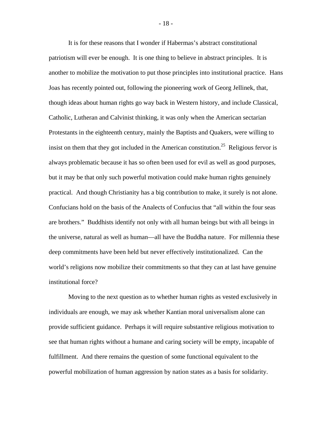It is for these reasons that I wonder if Habermas's abstract constitutional patriotism will ever be enough. It is one thing to believe in abstract principles. It is another to mobilize the motivation to put those principles into institutional practice. Hans Joas has recently pointed out, following the pioneering work of Georg Jellinek, that, though ideas about human rights go way back in Western history, and include Classical, Catholic, Lutheran and Calvinist thinking, it was only when the American sectarian Protestants in the eighteenth century, mainly the Baptists and Quakers, were willing to insist on them that they got included in the American constitution.<sup>25</sup> Religious fervor is always problematic because it has so often been used for evil as well as good purposes, but it may be that only such powerful motivation could make human rights genuinely practical. And though Christianity has a big contribution to make, it surely is not alone. Confucians hold on the basis of the Analects of Confucius that "all within the four seas are brothers." Buddhists identify not only with all human beings but with all beings in the universe, natural as well as human—all have the Buddha nature. For millennia these deep commitments have been held but never effectively institutionalized. Can the world's religions now mobilize their commitments so that they can at last have genuine institutional force?

 Moving to the next question as to whether human rights as vested exclusively in individuals are enough, we may ask whether Kantian moral universalism alone can provide sufficient guidance. Perhaps it will require substantive religious motivation to see that human rights without a humane and caring society will be empty, incapable of fulfillment. And there remains the question of some functional equivalent to the powerful mobilization of human aggression by nation states as a basis for solidarity.

- 18 -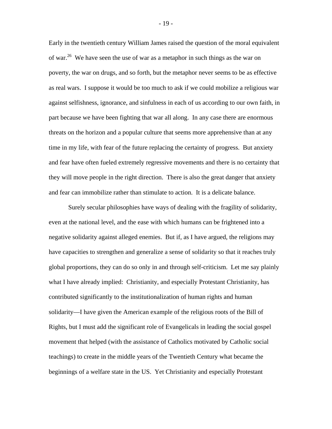Early in the twentieth century William James raised the question of the moral equivalent of war.<sup>26</sup> We have seen the use of war as a metaphor in such things as the war on poverty, the war on drugs, and so forth, but the metaphor never seems to be as effective as real wars. I suppose it would be too much to ask if we could mobilize a religious war against selfishness, ignorance, and sinfulness in each of us according to our own faith, in part because we have been fighting that war all along. In any case there are enormous threats on the horizon and a popular culture that seems more apprehensive than at any time in my life, with fear of the future replacing the certainty of progress. But anxiety and fear have often fueled extremely regressive movements and there is no certainty that they will move people in the right direction. There is also the great danger that anxiety and fear can immobilize rather than stimulate to action. It is a delicate balance.

 Surely secular philosophies have ways of dealing with the fragility of solidarity, even at the national level, and the ease with which humans can be frightened into a negative solidarity against alleged enemies. But if, as I have argued, the religions may have capacities to strengthen and generalize a sense of solidarity so that it reaches truly global proportions, they can do so only in and through self-criticism. Let me say plainly what I have already implied: Christianity, and especially Protestant Christianity, has contributed significantly to the institutionalization of human rights and human solidarity—I have given the American example of the religious roots of the Bill of Rights, but I must add the significant role of Evangelicals in leading the social gospel movement that helped (with the assistance of Catholics motivated by Catholic social teachings) to create in the middle years of the Twentieth Century what became the beginnings of a welfare state in the US. Yet Christianity and especially Protestant

- 19 -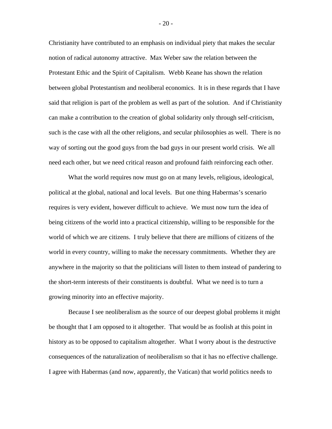Christianity have contributed to an emphasis on individual piety that makes the secular notion of radical autonomy attractive. Max Weber saw the relation between the Protestant Ethic and the Spirit of Capitalism. Webb Keane has shown the relation between global Protestantism and neoliberal economics. It is in these regards that I have said that religion is part of the problem as well as part of the solution. And if Christianity can make a contribution to the creation of global solidarity only through self-criticism, such is the case with all the other religions, and secular philosophies as well. There is no way of sorting out the good guys from the bad guys in our present world crisis. We all need each other, but we need critical reason and profound faith reinforcing each other.

 What the world requires now must go on at many levels, religious, ideological, political at the global, national and local levels. But one thing Habermas's scenario requires is very evident, however difficult to achieve. We must now turn the idea of being citizens of the world into a practical citizenship, willing to be responsible for the world of which we are citizens. I truly believe that there are millions of citizens of the world in every country, willing to make the necessary commitments. Whether they are anywhere in the majority so that the politicians will listen to them instead of pandering to the short-term interests of their constituents is doubtful. What we need is to turn a growing minority into an effective majority.

 Because I see neoliberalism as the source of our deepest global problems it might be thought that I am opposed to it altogether. That would be as foolish at this point in history as to be opposed to capitalism altogether. What I worry about is the destructive consequences of the naturalization of neoliberalism so that it has no effective challenge. I agree with Habermas (and now, apparently, the Vatican) that world politics needs to

- 20 -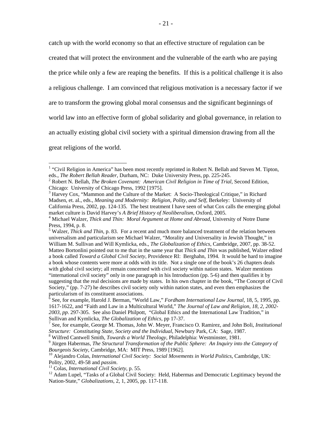catch up with the world economy so that an effective structure of regulation can be created that will protect the environment and the vulnerable of the earth who are paying the price while only a few are reaping the benefits. If this is a political challenge it is also a religious challenge. I am convinced that religious motivation is a necessary factor if we are to transform the growing global moral consensus and the significant beginnings of world law into an effective form of global solidarity and global governance, in relation to an actually existing global civil society with a spiritual dimension drawing from all the great religions of the world.

 $\overline{a}$ 

<sup>&</sup>lt;sup>1</sup> "Civil Religion in America" has been most recently reprinted in Robert N. Bellah and Steven M. Tipton, eds., *The Robert Bellah Reader*, Durham, NC: Duke University Press, pp. 225-245. 2

<sup>&</sup>lt;sup>2</sup> Robert N. Bellah, *The Broken Covenant: American Civil Religion in Time of Trial*, Second Edition, Chicago: University of Chicago Press, 1992 [1975].

<sup>&</sup>lt;sup>3</sup> Harvey Cox, "Mammon and the Culture of the Market: A Socio-Theological Critique," in Richard Madsen, et. al., eds., *Meaning and Modernity: Religion, Polity, and Self*, Berkeley: University of California Press, 2002, pp. 124-135. The best treatment I have seen of what Cox calls the emerging global market culture is David Harvey's *A Brief History of Neoliberalism*, Oxford, 2005. 4

<sup>&</sup>lt;sup>4</sup> Michael Walzer, *Thick and Thin: Moral Argument at Home and Abroad*, University of Notre Dame Press, 1994, p. 8.

<sup>&</sup>lt;sup>5</sup> Walzer, *Thick and Thin*, p. 83. For a recent and much more balanced treatment of the relation between universalism and particularism see Michael Walzer, "Morality and Universality in Jewish Thought," in William M. Sullivan and Will Kymlicka, eds., *The Globalization of Ethics*, Cambridge, 2007, pp. 38-52. Matteo Bortonlini pointed out to me that in the same year that *Thick and Thin* was published, Walzer edited a book called *Toward a Global Civil Society*, Providence RI: Berghahn, 1994. It would be hard to imagine a book whose contents were more at odds with its title. Not a single one of the book's 26 chapters deals with global civil society; all remain concerned with civil society within nation states. Walzer mentions "international civil society" only in one paragraph in his Introduction (pp. 5-6) and then qualifies it by suggesting that the real decisions are made by states. In his own chapter in the book, "The Concept of Civil Society," (pp. 7-27) he describes civil society only within nation states, and even then emphasizes the particularism of its constituent associations.

<sup>6</sup> See, for example, Harold J. Berman, "World Law," *Fordham International Law Journal*, 18, 5, 1995, pp. 1617-1622, and "Faith and Law in a Multicultural World," *The Journal of Law and Religion, 18, 2, 2002- 2003, pp*. 297-305. See also Daniel Philpott, "Global Ethics and the International Law Tradition," in Sullivan and Kymlicka, *The Globalization of Ethics*, pp 17-37.

See, for example, George M. Thomas, John W. Meyer, Francisco O. Ramirez, and John Boli, *Institutional Structure: Constituting State, Society and the Individual*, Newbury Park, CA: Sage, 1987. 8

Wilfred Cantwell Smith, *Towards a World Theology*, Philadelphia: Westminster, 1981. 9

<sup>&</sup>lt;sup>9</sup> Jürgen Habermas, *The Structural Transformation of the Public Sphere: An Inquiry into the Category of Bourgeois Society*, Cambridge, MA: MIT Press, 1989 [1962].<br><sup>10</sup> Aleiandro Colas, *International Civil Society: Social Movements in World Politics*, Cambridge, UK:

Polity, 2002, 49-58 and *passim*.<br><sup>11</sup> Colas, *International Civil Society*, p. 55.<br><sup>12</sup> Adam Lupel, "Tasks of a Global Civil Society: Held, Habermas and Democratic Legitimacy beyond the

Nation-State," *Globalizations*, 2, 1, 2005, pp. 117-118.